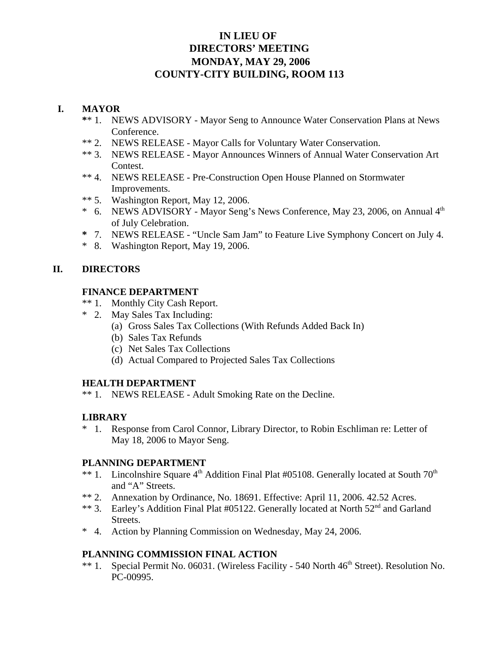# **IN LIEU OF DIRECTORS' MEETING MONDAY, MAY 29, 2006 COUNTY-CITY BUILDING, ROOM 113**

## **I. MAYOR**

- **\***\* 1. NEWS ADVISORY Mayor Seng to Announce Water Conservation Plans at News Conference.
- \*\* 2. NEWS RELEASE Mayor Calls for Voluntary Water Conservation.
- \*\* 3. NEWS RELEASE Mayor Announces Winners of Annual Water Conservation Art Contest.
- \*\* 4. NEWS RELEASE Pre-Construction Open House Planned on Stormwater Improvements.
- \*\* 5. Washington Report, May 12, 2006.
- \* 6. NEWS ADVISORY Mayor Seng's News Conference, May 23, 2006, on Annual  $4<sup>th</sup>$ of July Celebration.
- **\*** 7. NEWS RELEASE "Uncle Sam Jam" to Feature Live Symphony Concert on July 4.
- \* 8. Washington Report, May 19, 2006.

# **II. DIRECTORS**

## **FINANCE DEPARTMENT**

- \*\* 1. Monthly City Cash Report.
- \* 2. May Sales Tax Including:
	- (a) Gross Sales Tax Collections (With Refunds Added Back In)
	- (b) Sales Tax Refunds
	- (c) Net Sales Tax Collections
	- (d) Actual Compared to Projected Sales Tax Collections

## **HEALTH DEPARTMENT**

\*\* 1. NEWS RELEASE - Adult Smoking Rate on the Decline.

## **LIBRARY**

\* 1. Response from Carol Connor, Library Director, to Robin Eschliman re: Letter of May 18, 2006 to Mayor Seng.

## **PLANNING DEPARTMENT**

- \*\* 1. Lincolnshire Square  $4<sup>th</sup>$  Addition Final Plat #05108. Generally located at South  $70<sup>th</sup>$ and "A" Streets.
- \*\* 2. Annexation by Ordinance, No. 18691. Effective: April 11, 2006. 42.52 Acres.
- \*\* 3. Earley's Addition Final Plat #05122. Generally located at North 52<sup>nd</sup> and Garland Streets.
- \* 4. Action by Planning Commission on Wednesday, May 24, 2006.

## **PLANNING COMMISSION FINAL ACTION**

\*\* 1. Special Permit No. 06031. (Wireless Facility - 540 North 46<sup>th</sup> Street). Resolution No. PC-00995.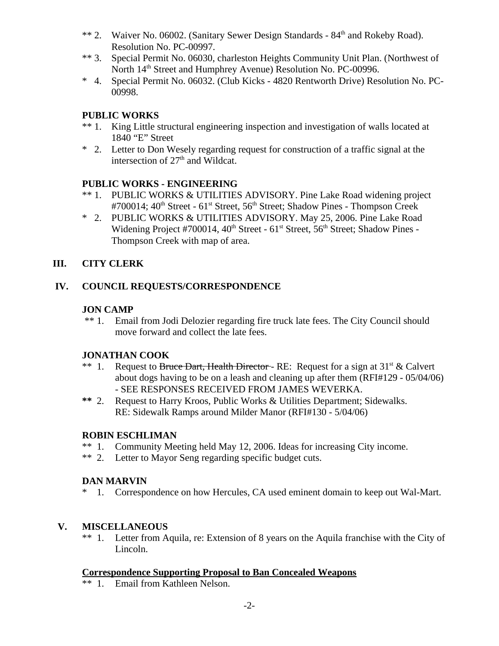- \*\* 2. Waiver No. 06002. (Sanitary Sewer Design Standards 84<sup>th</sup> and Rokeby Road). Resolution No. PC-00997.
- \*\* 3. Special Permit No. 06030, charleston Heights Community Unit Plan. (Northwest of North 14<sup>th</sup> Street and Humphrey Avenue) Resolution No. PC-00996.
- \* 4. Special Permit No. 06032. (Club Kicks 4820 Rentworth Drive) Resolution No. PC-00998.

## **PUBLIC WORKS**

- \*\* 1. King Little structural engineering inspection and investigation of walls located at 1840 "E" Street
- \* 2. Letter to Don Wesely regarding request for construction of a traffic signal at the intersection of  $27<sup>th</sup>$  and Wildcat.

## **PUBLIC WORKS - ENGINEERING**

- \*\* 1. PUBLIC WORKS & UTILITIES ADVISORY. Pine Lake Road widening project #700014; 40<sup>th</sup> Street - 61<sup>st</sup> Street, 56<sup>th</sup> Street; Shadow Pines - Thompson Creek
- \* 2. PUBLIC WORKS & UTILITIES ADVISORY. May 25, 2006. Pine Lake Road Widening Project #700014,  $40^{th}$  Street -  $61^{st}$  Street,  $56^{th}$  Street; Shadow Pines -Thompson Creek with map of area.

## **III. CITY CLERK**

## **IV. COUNCIL REQUESTS/CORRESPONDENCE**

#### **JON CAMP**

 \*\* 1. Email from Jodi Delozier regarding fire truck late fees. The City Council should move forward and collect the late fees.

## **JONATHAN COOK**

- \*\* 1. Request to Bruce Dart, Health Director RE: Request for a sign at  $31<sup>st</sup> \&$  Calvert about dogs having to be on a leash and cleaning up after them (RFI#129 - 05/04/06) - SEE RESPONSES RECEIVED FROM JAMES WEVERKA.
- **\*\*** 2. Request to Harry Kroos, Public Works & Utilities Department; Sidewalks. RE: Sidewalk Ramps around Milder Manor (RFI#130 - 5/04/06)

## **ROBIN ESCHLIMAN**

- \*\* 1. Community Meeting held May 12, 2006. Ideas for increasing City income.
- \*\* 2. Letter to Mayor Seng regarding specific budget cuts.

## **DAN MARVIN**

\* 1. Correspondence on how Hercules, CA used eminent domain to keep out Wal-Mart.

## **V. MISCELLANEOUS**

\*\* 1. Letter from Aquila, re: Extension of 8 years on the Aquila franchise with the City of Lincoln.

#### **Correspondence Supporting Proposal to Ban Concealed Weapons**

\*\* 1. Email from Kathleen Nelson.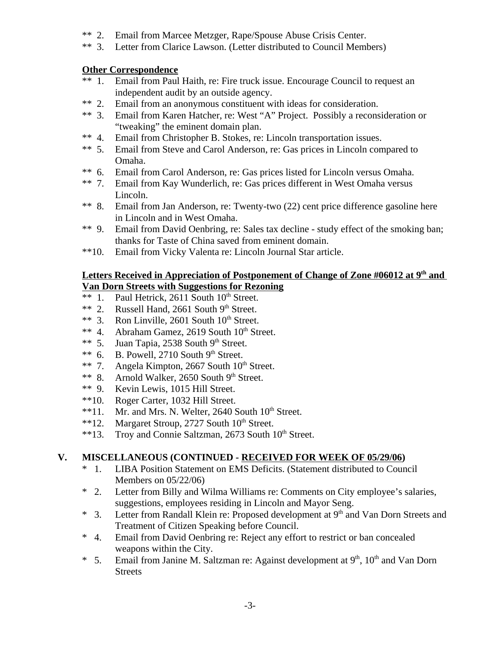- \*\* 2. Email from Marcee Metzger, Rape/Spouse Abuse Crisis Center.
- Letter from Clarice Lawson. (Letter distributed to Council Members)

## **Other Correspondence**

- \*\* 1. Email from Paul Haith, re: Fire truck issue. Encourage Council to request an independent audit by an outside agency.
- \*\* 2. Email from an anonymous constituent with ideas for consideration.
- \*\* 3. Email from Karen Hatcher, re: West "A" Project. Possibly a reconsideration or "tweaking" the eminent domain plan.
- \*\* 4. Email from Christopher B. Stokes, re: Lincoln transportation issues.
- \*\* 5. Email from Steve and Carol Anderson, re: Gas prices in Lincoln compared to Omaha.
- \*\* 6. Email from Carol Anderson, re: Gas prices listed for Lincoln versus Omaha.
- \*\* 7. Email from Kay Wunderlich, re: Gas prices different in West Omaha versus Lincoln.
- \*\* 8. Email from Jan Anderson, re: Twenty-two (22) cent price difference gasoline here in Lincoln and in West Omaha.
- \*\* 9. Email from David Oenbring, re: Sales tax decline study effect of the smoking ban; thanks for Taste of China saved from eminent domain.
- \*\*10. Email from Vicky Valenta re: Lincoln Journal Star article.

## Letters Received in Appreciation of Postponement of Change of Zone #06012 at 9<sup>th</sup> and **Van Dorn Streets with Suggestions for Rezoning**

- \*\* 1. Paul Hetrick,  $2611$  South  $10^{th}$  Street.
- \*\* 2. Russell Hand, 2661 South  $9<sup>th</sup>$  Street.
- \*\* 3. Ron Linville, 2601 South  $10^{th}$  Street.
- \*\* 4. Abraham Gamez, 2619 South  $10^{th}$  Street.
- \*\* 5. Juan Tapia, 2538 South  $9<sup>th</sup>$  Street.
- \*\* 6. B. Powell, 2710 South  $9<sup>th</sup>$  Street.
- \*\* 7. Angela Kimpton, 2667 South  $10^{th}$  Street.
- \*\* 8. Arnold Walker, 2650 South 9th Street.
- \*\* 9. Kevin Lewis, 1015 Hill Street.
- \*\*10. Roger Carter, 1032 Hill Street.
- \*\*11. Mr. and Mrs. N. Welter, 2640 South  $10<sup>th</sup>$  Street.
- \*\*12. Margaret Stroup, 2727 South  $10^{th}$  Street.
- \*\*13. Troy and Connie Saltzman, 2673 South 10<sup>th</sup> Street.

## **V. MISCELLANEOUS (CONTINUED - RECEIVED FOR WEEK OF 05/29/06)**

- \* 1. LIBA Position Statement on EMS Deficits. (Statement distributed to Council Members on 05/22/06)
- \* 2. Letter from Billy and Wilma Williams re: Comments on City employee's salaries, suggestions, employees residing in Lincoln and Mayor Seng.
- \* 3. Letter from Randall Klein re: Proposed development at 9th and Van Dorn Streets and Treatment of Citizen Speaking before Council.
- \* 4. Email from David Oenbring re: Reject any effort to restrict or ban concealed weapons within the City.
- \* 5. Email from Janine M. Saltzman re: Against development at  $9<sup>th</sup>$ ,  $10<sup>th</sup>$  and Van Dorn Streets